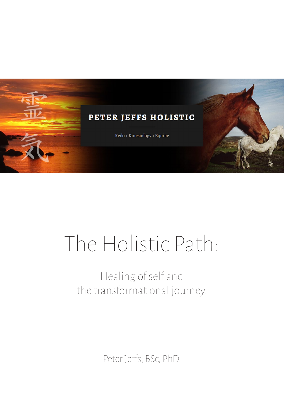

# The Holistic Path:

## Healing of self and the transformational journey.

Peter Jeffs, BSc, PhD.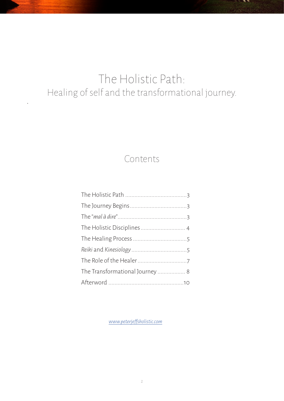### The Holistic Path: Healing of self and the transformational journey.

*.* 

#### Contents

| The Transformational Journey  8 |  |
|---------------------------------|--|
|                                 |  |
|                                 |  |

*www.peterjeffsholistic.com*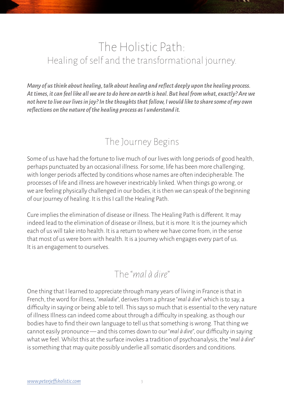### The Holistic Path: Healing of self and the transformational journey.

*Many of us think about healing, talk about healing and reflect deeply upon the healing process. At times, it can feel like all we are to do here on earth is heal. But heal from what, exactly? Are we not here to live our lives in joy? In the thoughts that follow, I would like to share some of my own reflections on the nature of the healing process as I understand it.* 

#### The Journey Begins

Some of us have had the fortune to live much of our lives with long periods of good health, perhaps punctuated by an occasional illness. For some, life has been more challenging, with longer periods affected by conditions whose names are often indecipherable. The processes of life and illness are however inextricably linked. When things go wrong, or we are feeling physically challenged in our bodies, it is then we can speak of the beginning of our journey of healing. It is this I call the Healing Path.

Cure implies the elimination of disease or illness. The Healing Path is different. It may indeed lead to the elimination of disease or illness, but it is more. It is the journey which each of us will take into health. It is a return to where we have come from, in the sense that most of us were born with health. It is a journey which engages every part of us. It is an engagement to ourselves.

#### The "*mal à dire*"

One thing that I learned to appreciate through many years of living in France is that in French, the word for illness, "*maladie*", derives from a phrase "*mal à dire*" which is to say, a difficulty in saying or being able to tell. This says so much that is essential to the very nature of illness Illness can indeed come about through a difficulty in speaking, as though our bodies have to find their own language to tell us that something is wrong. That thing we cannot easily pronounce — and this comes down to our "*mal à dire*", our difficulty in saying what we feel. Whilst this at the surface invokes a tradition of psychoanalysis, the "*mal à dire*" is something that may quite possibly underlie all somatic disorders and conditions.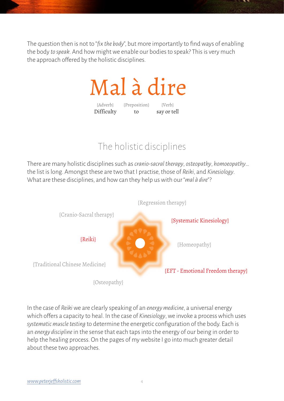The question then is not to "*fix the body*", but more importantly to find ways of enabling the body *to speak*. And how might we enable our bodies to speak? This is very much the approach offered by the holistic disciplines.

# Mal à dire

{Adverb} Difficulty {Preposition} to {Verb} say or tell

#### The holistic disciplines

There are many holistic disciplines such as *cranio-sacral therapy*, *osteopathy*, *homoeopathy*… the list is long. Amongst these are two that I practise, those of *Reiki*, and *Kinesiology*. What are these disciplines, and how can they help us with our "*mal à dire*"?



In the case of *Reiki* we are clearly speaking of an *energy medicine*, a universal energy which offers a capacity to heal. In the case of *Kinesiology*, we invoke a process which uses *systematic muscle testing* to determine the energetic configuration of the body. Each is an *energy discipline* in the sense that each taps into the energy of our being in order to help the healing process. On the pages of my website I go into much greater detail about these two approaches.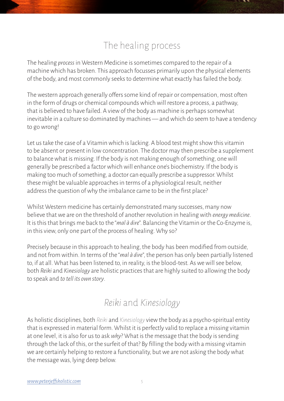#### The healing process

The healing *process* in Western Medicine is sometimes compared to the repair of a machine which has broken. This approach focusses primarily upon the physical elements of the body, and most commonly seeks to determine what exactly has failed the body.

The western approach generally offers some kind of repair or compensation, most often in the form of drugs or chemical compounds which will restore a process, a pathway, that is believed to have failed. A view of the body as machine is perhaps somewhat inevitable in a culture so dominated by machines — and which do seem to have a tendency to go wrong!

Let us take the case of a Vitamin which is lacking. A blood test might show this vitamin to be absent or present in low concentration. The doctor may then prescribe a supplement to balance what is missing. If the body is not making enough of something, one will generally be prescribed a factor which will enhance one's biochemistry. If the body is making too much of something, a doctor can equally prescribe a suppressor. Whilst these might be valuable approaches in terms of a physiological result, neither address the question of why the imbalance came to be in the first place?

Whilst Western medicine has certainly demonstrated many successes, many now believe that we are on the threshold of another revolution in healing with *energy medicine*. It is this that brings me back to the "*mal à dire*". Balancing the Vitamin or the Co-Enzyme is, in this view, only one part of the process of healing. Why so?

Precisely because in this approach to healing, the body has been modified from outside, and not from within. In terms of the "*mal à dire*", the person has only been partially listened to, if at all. What has been listened to, in reality, is the blood-test. As we will see below, both *Reiki* and *Kinesiology* are holistic practices that are highly suited to allowing the body to speak and *to tell its own story*.

#### *Reiki* and *Kinesiology*

As holistic disciplines, both *Reiki* and *Kinesiology* view the body as a psycho-spiritual entity that is expressed in material form. Whilst it is perfectly valid to replace a missing vitamin at one level, it is also for us to ask *why*? What is the message that the body is sending through the lack of this, or the surfeit of that? By filling the body with a missing vitamin we are certainly helping to restore a functionality, but we are not asking the body what the message was, lying deep below.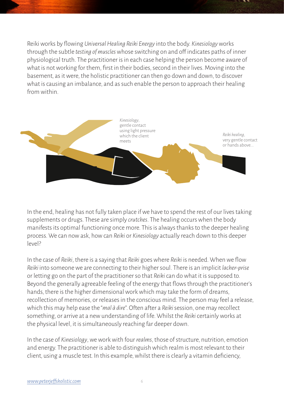Reiki works by flowing *Universal Healing Reiki Energy* into the body. *Kinesiology* works through the subtle *testing of muscles* whose switching on and off indicates paths of inner physiological truth. The practitioner is in each case helping the person become aware of what is not working for them, first in their bodies, second in their lives. Moving into the basement, as it were, the holistic practitioner can then go down and down, to discover what is causing an imbalance, and as such enable the person to approach their healing from within.



In the end, healing has not fully taken place if we have to spend the rest of our lives taking supplements or drugs. These are simply *crutches*. The healing occurs when the body manifests its optimal functioning once more. This is always thanks to the deeper healing process. We can now ask, how can *Reiki* or *Kinesiology* actually reach down to this deeper level?

In the case of *Reiki*, there is a saying that *Reiki* goes where *Reiki* is needed. When we flow *Reiki* into someone we are connecting to their higher soul. There is an implicit *lacher-prise* or letting go on the part of the practitioner so that *Reiki* can do what it is supposed to. Beyond the generally agreeable feeling of the energy that flows through the practitioner's hands, there is the higher dimensional work which may take the form of dreams, recollection of memories, or releases in the conscious mind. The person may feel a release, which this may help ease the "*mal à dire*". Often after a *Reiki* session, one may recollect something, or arrive at a new understanding of life. Whilst the *Reiki* certainly works at the physical level, it is simultaneously reaching far deeper down.

In the case of *Kinesiology*, we work with four *realms*, those of structure, nutrition, emotion and energy. The practitioner is able to distinguish which realm is most relevant to their client, using a muscle test. In this example, whilst there is clearly a vitamin deficiency,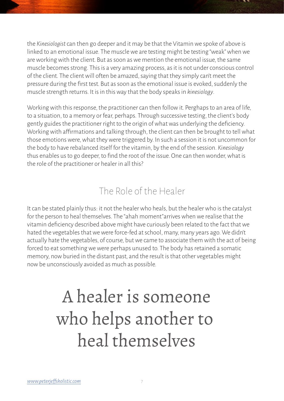the *Kinesiologist* can then go deeper and it may be that the Vitamin we spoke of above is linked to an emotional issue. The muscle we are testing might be testing "weak" when we are working with the client. But as soon as we mention the emotional issue, the same muscle becomes strong. This is a very amazing process, as it is not under conscious control of the client. The client will often be amazed, saying that they simply can't meet the pressure during the first test. But as soon as the emotional issue is evoked, suddenly the muscle strength returns. It is in this way that the body speaks in *kinesiology*.

Working with this response, the practitioner can then follow it. Perghaps to an area of life, to a situation, to a memory or fear, perhaps. Through successive testing, the client's body gently guides the practitioner right to the origin of what was underlying the deficiency. Working with affirmations and talking through, the client can then be brought to tell what those emotions were, what they were triggered by. In such a session it is not uncommon for the body to have rebalanced itself for the vitamin, by the end of the session. *Kinesiology* thus enables us to go deeper, to find the root of the issue. One can then wonder, what is the role of the practitioner or healer in all this?

#### The Role of the Healer

It can be stated plainly thus: it not the healer who heals, but the healer who is the catalyst for the person to heal themselves. The "ahah moment"arrives when we realise that the vitamin deficiency described above might have curiously been related to the fact that we hated the vegetables that we were force-fed at school, many, many years ago. We didn't actually hate the vegetables, of course, but we came to associate them with the act of being forced to eat something we were perhaps unused to. The body has retained a somatic memory, now buried in the distant past, and the result is that other vegetables might now be unconsciously avoided as much as possible.

# A healer is someone who helps another to heal themselves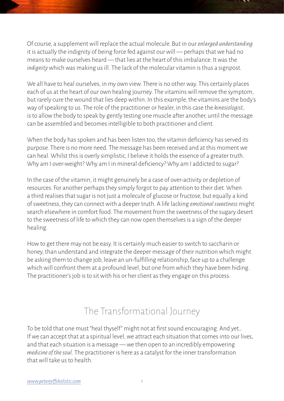Of course, a supplement will replace the actual molecule. But in our *enlarged understanding* it is actually the indignity of being force fed against our will — perhaps that we had no means to make ourselves heard — that lies at the heart of this imbalance. It was the *indignity* which was making us ill. The lack of the molecular vitamin is thus a signpost.

We all have to heal ourselves, in my own view. There is no other way. This certainly places each of us at the heart of our own healing journey. The vitamins will remove the symptom, but rarely cure the wound that lies deep within. In this example, the vitamins are the body's way of speaking to us. The role of the practitioner or healer, in this case the *kinesiologist*, is to allow the body to speak by gently testing one muscle after another, until the message can be assembled and becomes intelligible to both practitioner and client.

When the body has spoken and has been listen too, the vitamin deficiency has served its purpose. There is no more need. The message has been received and at this moment we can heal. Whilst this is overly simplistic, I believe it holds the essence of a greater truth. Why am I over-weight? Why am I in mineral deficiency? Why am I addicted to sugar?

In the case of the vitamin, it might genuinely be a case of over-activity or depletion of resources. For another perhaps they simply forgot to pay attention to their diet. When a third realises that sugar is not just a molecule of glucose or fructose, but equally a kind of sweetness, they can connect with a deeper truth. A life lacking *emotional sweetness* might search elsewhere in comfort food. The movement from the sweetness of the sugary desert to the sweetness of life to which they can now open themselves is a sign of the deeper healing.

How to get there may not be easy. It is certainly much easier to switch to saccharin or honey, than understand and integrate the deeper message of their nutrition which might be asking them to change job, leave an un-fulfilling relationship, face up to a challenge which will confront them at a profound level, but one from which they have been hiding. The practitioner's job is to sit with his or her client as they engage on this process.

#### The Transformational Journey

To be told that one must "heal thyself" might not at first sound encouraging. And yet… If we can accept that at a spiritual level, we attract each situation that comes into our lives, and that each situation is a message — we then open to an incredibly empowering *medicine of the soul*. The practitioner is here as a catalyst for the inner transformation that will take us to health.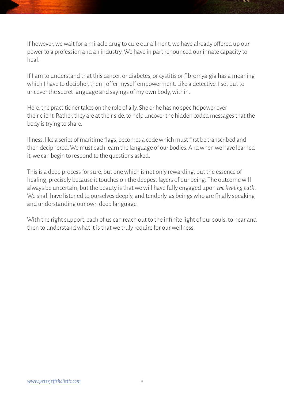If however, we wait for a miracle drug to cure our ailment, we have already offered up our power to a profession and an industry. We have in part renounced our innate capacity to heal.

If I am to understand that this cancer, or diabetes, or cystitis or fibromyalgia has a meaning which I have to decipher, then I offer myself empowerment. Like a detective, I set out to uncover the secret language and sayings of my own body, within.

Here, the practitioner takes on the role of ally. She or he has no specific power over their client. Rather, they are at their side, to help uncover the hidden coded messages that the body is trying to share.

Illness, like a series of maritime flags, becomes a code which must first be transcribed and then deciphered. We must each learn the language of our bodies. And when we have learned it, we can begin to respond to the questions asked.

This is a deep process for sure, but one which is not only rewarding, but the essence of healing, precisely because it touches on the deepest layers of our being. The outcome will always be uncertain, but the beauty is that we will have fully engaged upon *the healing path*. We shall have listened to ourselves deeply, and tenderly, as beings who are finally speaking and understanding our own deep language.

With the right support, each of us can reach out to the infinite light of our souls, to hear and then to understand what it is that we truly require for our wellness.